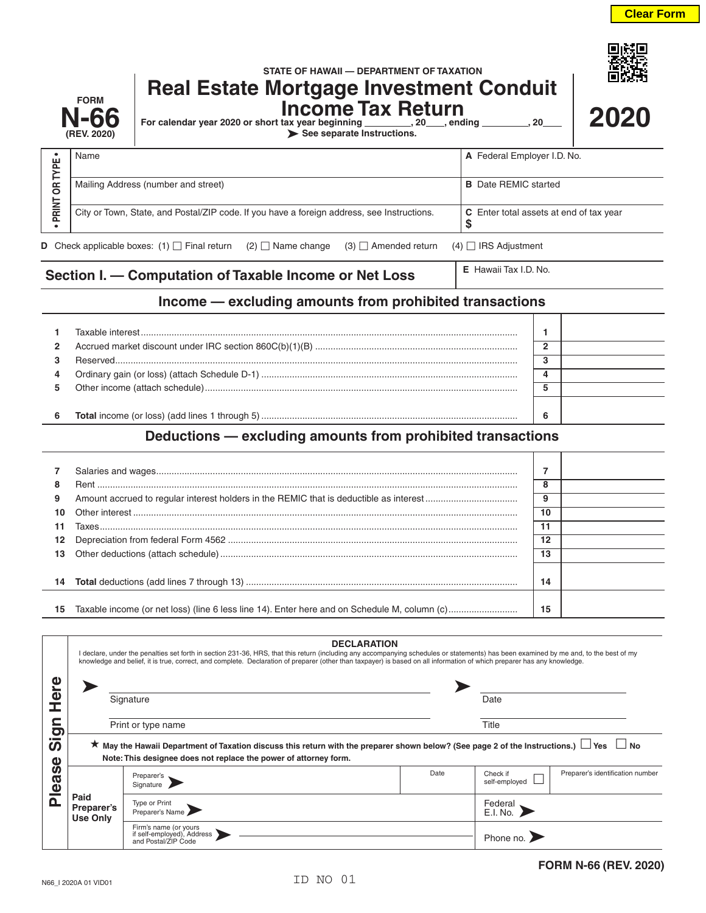|                        | <b>FORM</b><br><b>N-66</b><br>(REV. 2020)                                                                                                   | STATE OF HAWAII — DEPARTMENT OF TAXATION<br><b>Real Estate Mortgage Investment Conduit</b><br><b>Income Tax Return</b><br>For calendar year 2020 or short tax year beginning __________, 20____, ending _________, 20_<br>See separate Instructions. |                             |                | 2020 |
|------------------------|---------------------------------------------------------------------------------------------------------------------------------------------|------------------------------------------------------------------------------------------------------------------------------------------------------------------------------------------------------------------------------------------------------|-----------------------------|----------------|------|
|                        | Name                                                                                                                                        |                                                                                                                                                                                                                                                      | A Federal Employer I.D. No. |                |      |
| <b>PRINT OR TYPE .</b> | Mailing Address (number and street)<br><b>B</b> Date REMIC started                                                                          |                                                                                                                                                                                                                                                      |                             |                |      |
|                        | City or Town, State, and Postal/ZIP code. If you have a foreign address, see Instructions.<br>C Enter total assets at end of tax year<br>\$ |                                                                                                                                                                                                                                                      |                             |                |      |
|                        |                                                                                                                                             | <b>D</b> Check applicable boxes: (1) $\Box$ Final return (2) $\Box$ Name change<br>$(3)$ $\Box$ Amended return                                                                                                                                       | $(4)$ $\Box$ IRS Adjustment |                |      |
|                        |                                                                                                                                             | Section I. - Computation of Taxable Income or Net Loss                                                                                                                                                                                               | E Hawaii Tax I.D. No.       |                |      |
|                        |                                                                                                                                             | Income - excluding amounts from prohibited transactions                                                                                                                                                                                              |                             |                |      |
| 1                      |                                                                                                                                             |                                                                                                                                                                                                                                                      |                             | 1              |      |
| 2                      |                                                                                                                                             |                                                                                                                                                                                                                                                      |                             | $\overline{2}$ |      |
| 3                      |                                                                                                                                             |                                                                                                                                                                                                                                                      |                             | 3              |      |
| 4                      |                                                                                                                                             |                                                                                                                                                                                                                                                      |                             | 4              |      |
| 5                      |                                                                                                                                             |                                                                                                                                                                                                                                                      |                             | 5              |      |
| 6                      |                                                                                                                                             |                                                                                                                                                                                                                                                      |                             | 6              |      |
|                        |                                                                                                                                             | Deductions - excluding amounts from prohibited transactions                                                                                                                                                                                          |                             |                |      |
| 7                      |                                                                                                                                             |                                                                                                                                                                                                                                                      |                             | $\overline{7}$ |      |
| 8                      |                                                                                                                                             |                                                                                                                                                                                                                                                      |                             | 8              |      |
| 9                      |                                                                                                                                             |                                                                                                                                                                                                                                                      |                             | 9              |      |
| 10                     | Other interest.                                                                                                                             |                                                                                                                                                                                                                                                      |                             | 10             |      |

 Other interest ...................................................................................................................................................... **10** Taxes................................................................................................................................................................... **11** Depreciation from federal Form 4562 ................................................................................................................. **12** Other deductions (attach schedule).................................................................................................................... **13 Total** deductions (add lines 7 through 13) .......................................................................................................... **14** Taxable income (or net loss) (line 6 less line 14). Enter here and on Schedule M, column (c)........................... **15**

| Φ<br>$\overline{\mathbf{o}}$<br>ഗ<br>ω<br><b>S</b><br>Ø<br>Φ<br><b>n</b> |                                                                                                                                                                                                                       | <b>DECLARATION</b><br>I declare, under the penalties set forth in section 231-36, HRS, that this return (including any accompanying schedules or statements) has been examined by me and, to the best of my<br>knowledge and belief, it is true, correct, and complete. Declaration of preparer (other than taxpayer) is based on all information of which preparer has any knowledge. |       |                           |                                  |  |
|--------------------------------------------------------------------------|-----------------------------------------------------------------------------------------------------------------------------------------------------------------------------------------------------------------------|----------------------------------------------------------------------------------------------------------------------------------------------------------------------------------------------------------------------------------------------------------------------------------------------------------------------------------------------------------------------------------------|-------|---------------------------|----------------------------------|--|
|                                                                          | Signature                                                                                                                                                                                                             |                                                                                                                                                                                                                                                                                                                                                                                        |       | Date                      |                                  |  |
|                                                                          |                                                                                                                                                                                                                       | Print or type name                                                                                                                                                                                                                                                                                                                                                                     | Title |                           |                                  |  |
|                                                                          | ★ May the Hawaii Department of Taxation discuss this return with the preparer shown below? (See page 2 of the Instructions.) $\Box$ Yes $\Box$ No<br>Note: This designee does not replace the power of attorney form. |                                                                                                                                                                                                                                                                                                                                                                                        |       |                           |                                  |  |
|                                                                          |                                                                                                                                                                                                                       | Preparer's<br>Signature                                                                                                                                                                                                                                                                                                                                                                | Date  | Check if<br>self-employed | Preparer's identification number |  |
|                                                                          | Paid<br>Preparer's<br><b>Use Only</b>                                                                                                                                                                                 | Type or Print<br>Preparer's Name                                                                                                                                                                                                                                                                                                                                                       |       | Federal<br>E.I. No.       |                                  |  |
|                                                                          |                                                                                                                                                                                                                       | Firm's name (or yours<br>if self-employed), Address<br>and Postal/ZIP Code                                                                                                                                                                                                                                                                                                             |       | Phone no.                 |                                  |  |